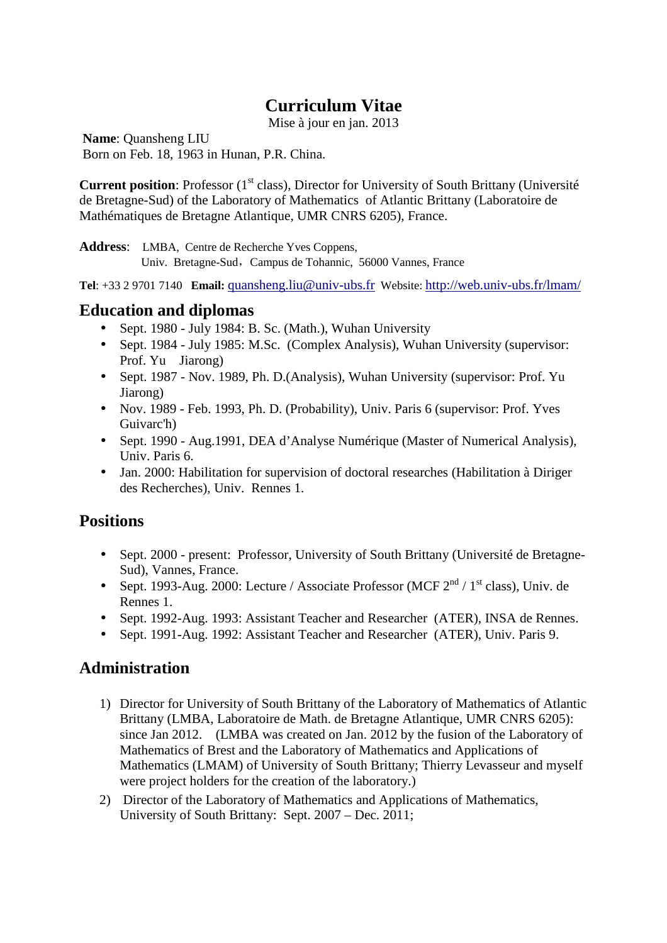# **Curriculum Vitae**

Mise à jour en jan. 2013

**Name**: Quansheng LIU Born on Feb. 18, 1963 in Hunan, P.R. China.

**Current position**: Professor (1<sup>st</sup> class), Director for University of South Brittany (Université de Bretagne-Sud) of the Laboratory of Mathematics of Atlantic Brittany (Laboratoire de Mathématiques de Bretagne Atlantique, UMR CNRS 6205), France.

**Address**: LMBA, Centre de Recherche Yves Coppens, Univ. Bretagne-Sud, Campus de Tohannic, 56000 Vannes, France

**Tel**: +33 2 9701 7140 **Email:** quansheng.liu@univ-ubs.fr Website: http://web.univ-ubs.fr/lmam/

#### **Education and diplomas**

- Sept. 1980 July 1984: B. Sc. (Math.), Wuhan University
- Sept. 1984 July 1985: M.Sc. (Complex Analysis), Wuhan University (supervisor: Prof. Yu Jiarong)
- Sept. 1987 Nov. 1989, Ph. D. (Analysis), Wuhan University (supervisor: Prof. Yu Jiarong)
- Nov. 1989 Feb. 1993, Ph. D. (Probability), Univ. Paris 6 (supervisor: Prof. Yves Guivarc'h)
- Sept. 1990 Aug.1991, DEA d'Analyse Numérique (Master of Numerical Analysis), Univ. Paris 6.
- Jan. 2000: Habilitation for supervision of doctoral researches (Habilitation à Diriger des Recherches), Univ. Rennes 1.

# **Positions**

- Sept. 2000 present: Professor, University of South Brittany (Université de Bretagne-Sud), Vannes, France.
- Sept. 1993-Aug. 2000: Lecture / Associate Professor (MCF  $2<sup>nd</sup>$  / 1<sup>st</sup> class), Univ. de Rennes 1.
- Sept. 1992-Aug. 1993: Assistant Teacher and Researcher (ATER), INSA de Rennes.
- Sept. 1991-Aug. 1992: Assistant Teacher and Researcher (ATER), Univ. Paris 9.

# **Administration**

- 1) Director for University of South Brittany of the Laboratory of Mathematics of Atlantic Brittany (LMBA, Laboratoire de Math. de Bretagne Atlantique, UMR CNRS 6205): since Jan 2012. (LMBA was created on Jan. 2012 by the fusion of the Laboratory of Mathematics of Brest and the Laboratory of Mathematics and Applications of Mathematics (LMAM) of University of South Brittany; Thierry Levasseur and myself were project holders for the creation of the laboratory.)
- 2) Director of the Laboratory of Mathematics and Applications of Mathematics, University of South Brittany: Sept. 2007 – Dec. 2011;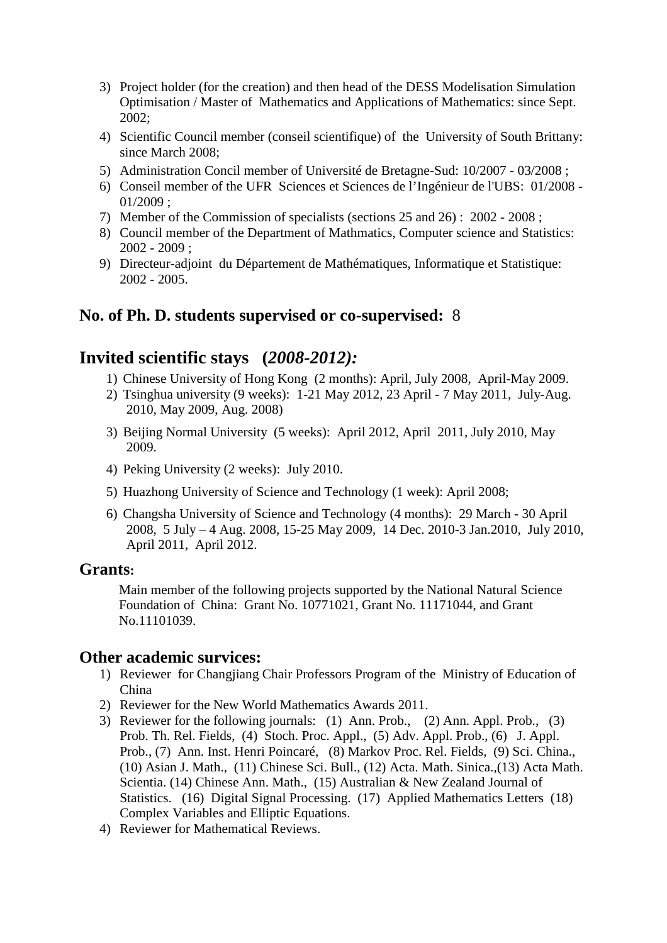- 3) Project holder (for the creation) and then head of the DESS Modelisation Simulation Optimisation / Master of Mathematics and Applications of Mathematics: since Sept. 2002;
- 4) Scientific Council member (conseil scientifique) of the University of South Brittany: since March 2008;
- 5) Administration Concil member of Université de Bretagne-Sud: 10/2007 03/2008 ;
- 6) Conseil member of the UFR Sciences et Sciences de l'Ingénieur de l'UBS: 01/2008 01/2009 ;
- 7) Member of the Commission of specialists (sections 25 and 26) : 2002 2008 ;
- 8) Council member of the Department of Mathmatics, Computer science and Statistics: 2002 - 2009 ;
- 9) Directeur-adjoint du Département de Mathématiques, Informatique et Statistique: 2002 - 2005.

### **No. of Ph. D. students supervised or co-supervised:** 8

### **Invited scientific stays (***2008-2012):*

- 1) Chinese University of Hong Kong (2 months): April, July 2008, April-May 2009.
- 2) Tsinghua university (9 weeks): 1-21 May 2012, 23 April 7 May 2011, July-Aug. 2010, May 2009, Aug. 2008)
- 3) Beijing Normal University (5 weeks): April 2012, April 2011, July 2010, May 2009.
- 4) Peking University (2 weeks): July 2010.
- 5) Huazhong University of Science and Technology (1 week): April 2008;
- 6) Changsha University of Science and Technology (4 months): 29 March 30 April 2008, 5 July – 4 Aug. 2008, 15-25 May 2009, 14 Dec. 2010-3 Jan.2010, July 2010, April 2011, April 2012.

#### **Grants:**

Main member of the following projects supported by the National Natural Science Foundation of China: Grant No. 10771021, Grant No. 11171044, and Grant No.11101039.

#### **Other academic survices:**

- 1) Reviewer for Changjiang Chair Professors Program of the Ministry of Education of China
- 2) Reviewer for the New World Mathematics Awards 2011.
- 3) Reviewer for the following journals: (1) Ann. Prob., (2) Ann. Appl. Prob., (3) Prob. Th. Rel. Fields, (4) Stoch. Proc. Appl., (5) Adv. Appl. Prob., (6) J. Appl. Prob., (7) Ann. Inst. Henri Poincaré, (8) Markov Proc. Rel. Fields, (9) Sci. China., (10) Asian J. Math., (11) Chinese Sci. Bull., (12) Acta. Math. Sinica.,(13) Acta Math. Scientia. (14) Chinese Ann. Math., (15) Australian & New Zealand Journal of Statistics. (16) Digital Signal Processing. (17) Applied Mathematics Letters (18) Complex Variables and Elliptic Equations.
- 4) Reviewer for Mathematical Reviews.